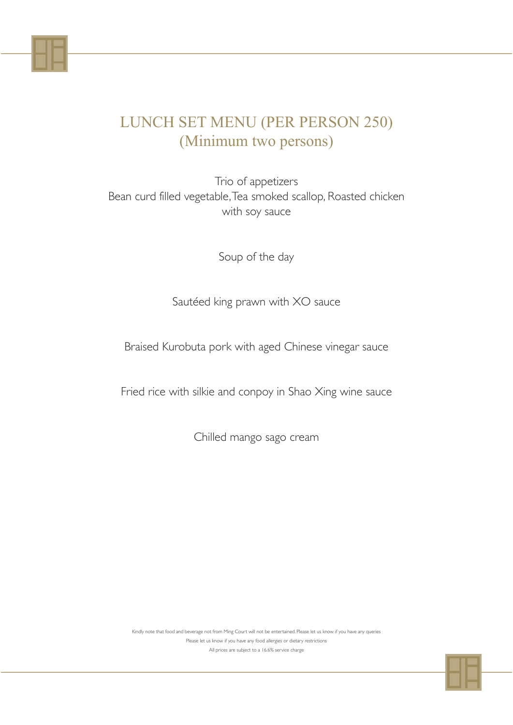Trio of appetizers Bean curd filled vegetable, Tea smoked scallop, Roasted chicken with soy sauce

Soup of the day

Sautéed king prawn with XO sauce

Braised Kurobuta pork with aged Chinese vinegar sauce

Fried rice with silkie and conpoy in Shao Xing wine sauce

Chilled mango sago cream

#### LUNCH SET MENU (PER PERSON 250) (Minimum two persons)

Kindly note that food and beverage not from Ming Court will not be entertained. Please let us know if you have any queries

Please let us know if you have any food allergies or dietary restrictions

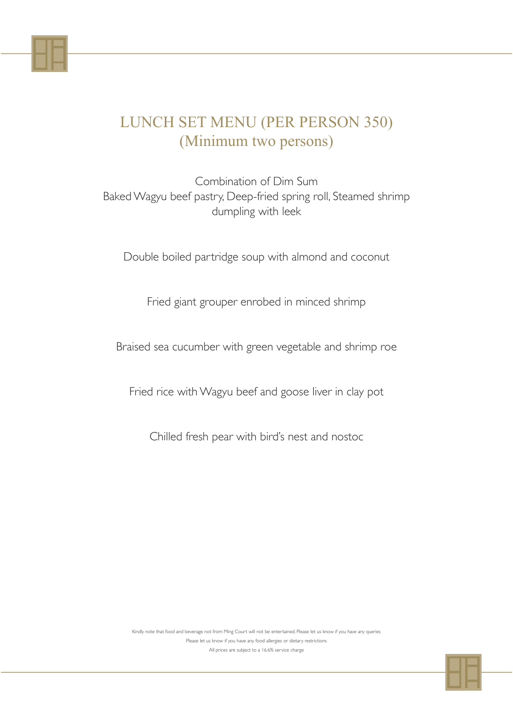Combination of Dim Sum Baked Wagyu beef pastry, Deep-fried spring roll, Steamed shrimp dumpling with leek

Double boiled partridge soup with almond and coconut

Fried giant grouper enrobed in minced shrimp

Braised sea cucumber with green vegetable and shrimp roe

Fried rice with Wagyu beef and goose liver in clay pot

Chilled fresh pear with bird's nest and nostoc

### LUNCH SET MENU (PER PERSON 350) (Minimum two persons)

Kindly note that food and beverage not from Ming Court will not be entertained. Please let us know if you have any queries

Please let us know if you have any food allergies or dietary restrictions

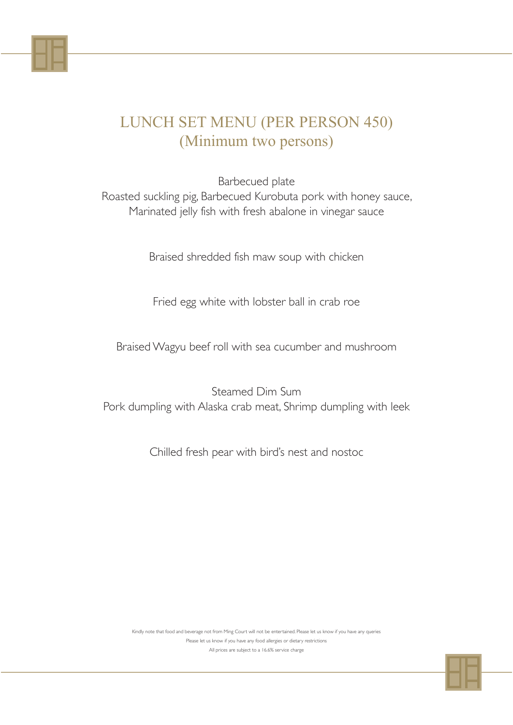Barbecued plate Roasted suckling pig, Barbecued Kurobuta pork with honey sauce, Marinated jelly fish with fresh abalone in vinegar sauce

Braised shredded fish maw soup with chicken

Fried egg white with lobster ball in crab roe

Braised Wagyu beef roll with sea cucumber and mushroom

Steamed Dim Sum Pork dumpling with Alaska crab meat, Shrimp dumpling with leek

Chilled fresh pear with bird's nest and nostoc

#### LUNCH SET MENU (PER PERSON 450) (Minimum two persons)

Kindly note that food and beverage not from Ming Court will not be entertained. Please let us know if you have any queries

Please let us know if you have any food allergies or dietary restrictions

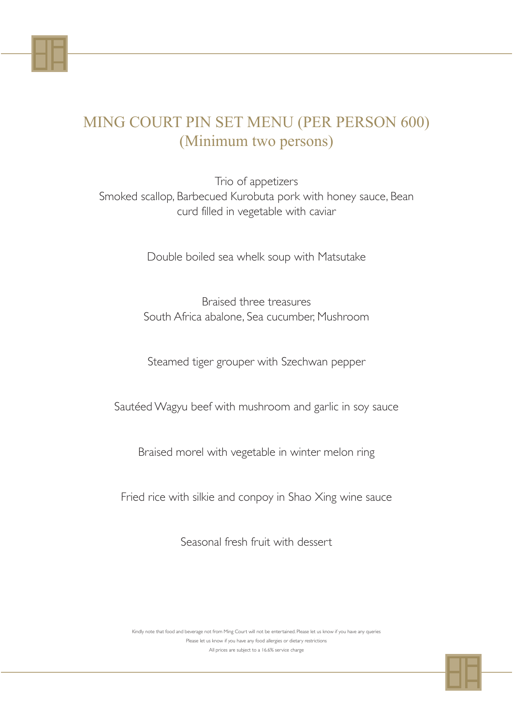Trio of appetizers Smoked scallop, Barbecued Kurobuta pork with honey sauce, Bean curd filled in vegetable with caviar

Double boiled sea whelk soup with Matsutake

Braised three treasures South Africa abalone, Sea cucumber, Mushroom

Steamed tiger grouper with Szechwan pepper

Sautéed Wagyu beef with mushroom and garlic in soy sauce

Braised morel with vegetable in winter melon ring

Fried rice with silkie and conpoy in Shao Xing wine sauce

Seasonal fresh fruit with dessert

## MING COURT PIN SET MENU (PER PERSON 600) (Minimum two persons)

Kindly note that food and beverage not from Ming Court will not be entertained. Please let us know if you have any queries

Please let us know if you have any food allergies or dietary restrictions

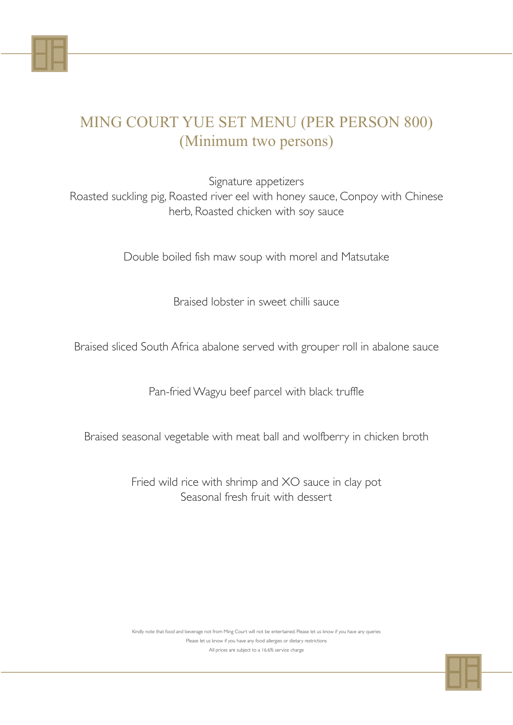Signature appetizers Roasted suckling pig, Roasted river eel with honey sauce, Conpoy with Chinese herb, Roasted chicken with soy sauce

Double boiled fish maw soup with morel and Matsutake

Braised lobster in sweet chilli sauce

Braised sliced South Africa abalone served with grouper roll in abalone sauce

Pan-fried Wagyu beef parcel with black truffle

Braised seasonal vegetable with meat ball and wolfberry in chicken broth

Fried wild rice with shrimp and XO sauce in clay pot Seasonal fresh fruit with dessert

## MING COURT YUE SET MENU (PER PERSON 800) (Minimum two persons)

Kindly note that food and beverage not from Ming Court will not be entertained. Please let us know if you have any queries

Please let us know if you have any food allergies or dietary restrictions